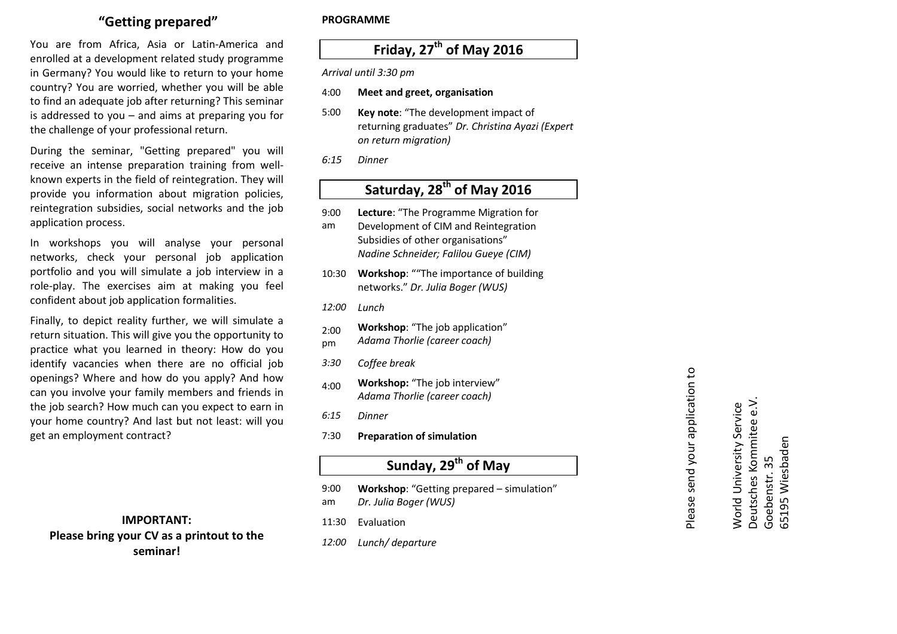## **"Getting prepared"**

You are from Africa, Asia or Latin-America and enrolled at a development related study programme in Germany? You would like to return to your home country? You are worried, whether you will be able to find an adequate job after returning? This seminar is addressed to you – and aims at preparing you forthe challenge of your professional return.

During the seminar, "Getting prepared" you will receive an intense preparation training from wellknown experts in the field of reintegration. They will provide you information about migration policies, reintegration subsidies, social networks and the job application process.

In workshops you will analyse your personal networks, check your personal job application portfolio and you will simulate a job interview in a role-play. The exercises aim at making you feel confident about job application formalities.

Finally, to depict reality further, we will simulate a return situation. This will give you the opportunity to practice what you learned in theory: How do you identify vacancies when there are no official job openings? Where and how do you apply? And how can you involve your family members and friends in the job search? How much can you expect to earn in your home country? And last but not least: will youget an employment contract?

**IMPORTANT: Please bring your CV as a printout to the seminar!** 

#### **PROGRAMME**

## **Friday, 27th of May 2016**

*Arrival until 3:30 pm*

- 4:00**Meet and greet, organisation**
- 5:00 **Key note**: "The development impact of returning graduates" *Dr. Christina Ayazi (Expert on return migration)*
- *6:15 Dinner*

# **Saturday, 28th of May 2016**

- 9:00 am **Lecture**: "The Programme Migration for Development of CIM and Reintegration Subsidies of other organisations" *Nadine Schneider; Falilou Gueye (CIM)*10:30 **Workshop**: ""The importance of building networks." *Dr. Julia Boger (WUS) 12:00 Lunch*  2:00 pm**Workshop**: "The job application" *Adama Thorlie (career coach) 3:30 Coffee break*  4:00 **Workshop:** "The job interview" *Adama Thorlie (career coach) 6:15 Dinner*  7:30 **Preparation of simulationSunday, 29th of May** 9:00 am **Workshop**: "Getting prepared – simulation" *Dr. Julia Boger (WUS)*
- 11:30Evaluation
- *12:00Lunch/ departure*

Please send your application to

Please send your application to

Deutsches Kommitee e.V. Deutsches Kommitee e.V. World University Service World University Service 65195 Wiesbaden 5195 Wiesbaden Goebenstr. 35 Goebenstr. 35